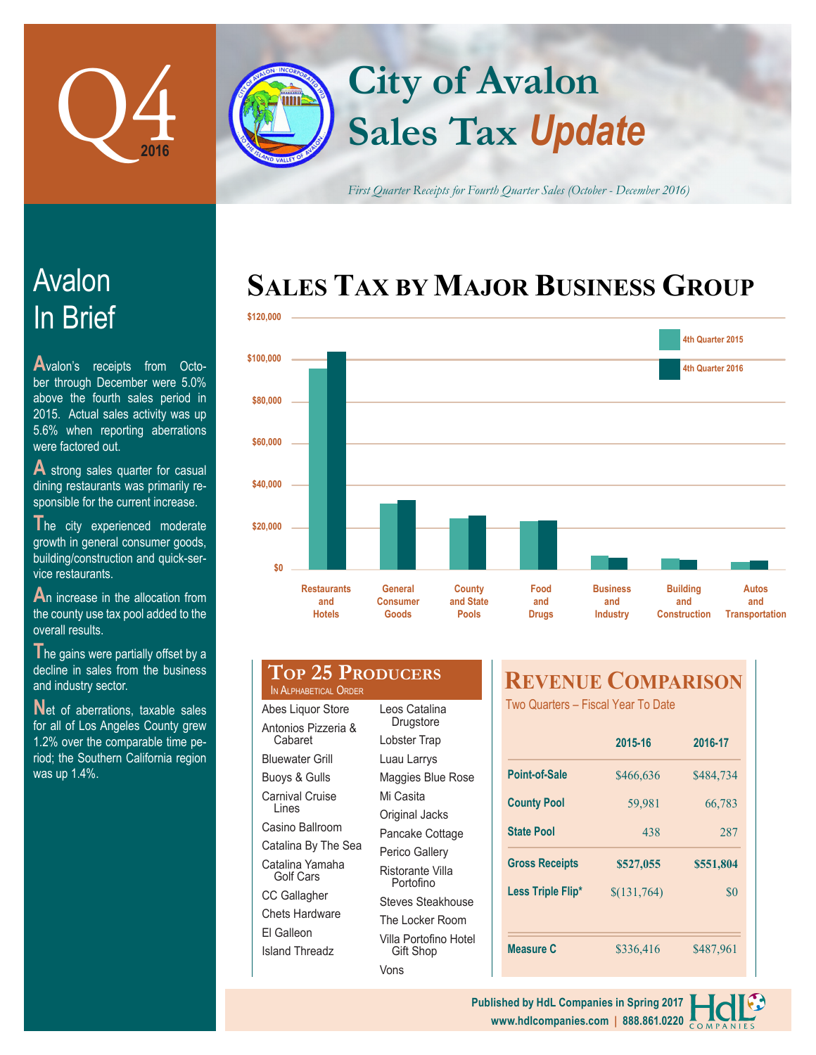

# **Sales Tax** *Update* **City of Avalon**

*First Quarter Receipts for Fourth Quarter Sales (October - December 2016)*

## **SALES TAX BY MAJOR BUSINESS GROUP**



# In Brief Avalon

**A**valon's receipts from October through December were 5.0% above the fourth sales period in 2015. Actual sales activity was up 5.6% when reporting aberrations were factored out.

A strong sales quarter for casual dining restaurants was primarily responsible for the current increase.

The city experienced moderate growth in general consumer goods, building/construction and quick-service restaurants.

An increase in the allocation from the county use tax pool added to the overall results.

The gains were partially offset by a decline in sales from the business and industry sector.

Net of aberrations, taxable sales for all of Los Angeles County grew 1.2% over the comparable time period; the Southern California region was up 1.4%.

#### **Top 25 Producers** IN ALPHABETICAL ORDER Leos Catalina

Abes Liquor Store Antonios Pizzeria & Cabaret Bluewater Grill Buoys & Gulls Carnival Cruise Lines Casino Ballroom Catalina By The Sea Catalina Yamaha Golf Cars CC Gallagher Chets Hardware El Galleon Island Threadz

| Leos Catalina<br>Drugstore         |
|------------------------------------|
| Lobster Trap                       |
| Luau Larrys                        |
| Maggies Blue Rose                  |
| Mi Casita                          |
| Original Jacks                     |
| Pancake Cottage                    |
| Perico Gallery                     |
| Ristorante Villa<br>Portofino      |
| <b>Steves Steakhouse</b>           |
| The Locker Room                    |
| Villa Portofino Hotel<br>Gift Shop |

Vons

## **REVENUE COMPARISON**

Two Quarters – Fiscal Year To Date

|                       | 2015-16     | 2016-17   |
|-----------------------|-------------|-----------|
| Point-of-Sale         | \$466,636   | \$484,734 |
| <b>County Pool</b>    | 59,981      | 66,783    |
| <b>State Pool</b>     | 438         | 287       |
|                       |             |           |
| <b>Gross Receipts</b> | \$527,055   | \$551,804 |
| Less Triple Flip*     | \$(131,764) | \$0       |
|                       |             |           |